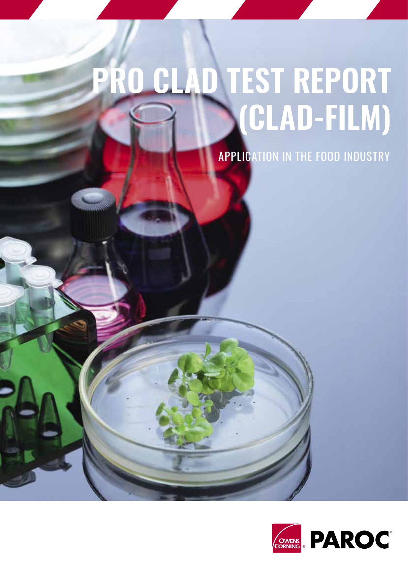# **PRO CLAD TEST REPORT (CLAD-FILM)**

**APPLICATION IN THE FOOD INDUSTRY** 

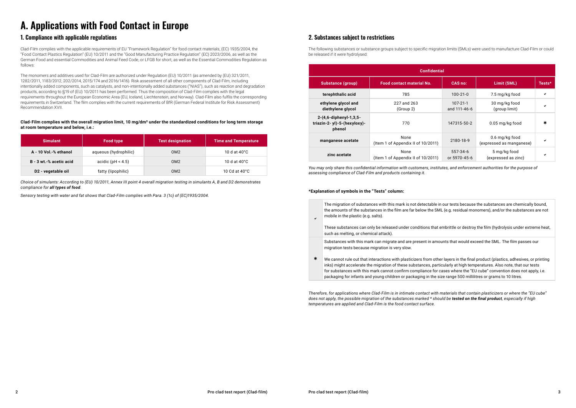e in our tests because the substances are chemically bound, SML (e.g. residual monomers), and/or the substances are not

at embrittle or destroy the film (hydrolysis under extreme heat,

mounts that would exceed the SML. The film passes our

ther layers in the final product (plastics, adhesives, or printing

Clad-Film complies with the applicable requirements of EU "Framework Regulation" for food contact materials, (EC) 1935/2004, the "Food Contact Plastics Regulation" (EU) 10/2011 and the "Good Manufacturing Practice Regulation" (EC) 2023/2006, as well as the German Food and essential Commodities and Animal Feed Code, or LFGB for short, as well as the Essential Commodities Regulation as follows:

The monomers and additives used for Clad-Film are authorized under Regulation (EU) 10/2011 (as amended by (EU) 321/2011, 1282/2011, 1183/2012, 202/2014, 2015/174 and 2016/1416). Risk assessment of all other components of Clad-Film, including intentionally added components, such as catalysts, and non-intentionally added substances ("NIAS"), such as reaction and degradation products, according to §19 of (EU) 10/2011 has been performed. Thus the composition of Clad-Film complies with the legal requirements throughout the European Economic Area (EU, Iceland, Liechtenstein, and Norway). Clad-Film also fulfils the corresponding requirements in Switzerland. The film complies with the current requirements of BfR (German Federal Institute for Risk Assessment) Recommendation XVII.

The following substances or substance groups subject to specific migration limits (SMLs) were used to manufacture Clad-Film or could be released if it were hydrolysed:

 $\ast$ inks) might accelerate the migration of these substances, particularly at high temperatures. Also note, that our tests for substances with this mark cannot confirm compliance for cases where the "EU cube" convention does not apply, i.e. packaging for infants and young children or packaging in the size range 500 millilitres or grams to 10 litres.

## **A. Applications with Food Contact in Europe**

#### **1. Compliance with applicable regulations 2. Substances subject to restrictions**

| <b>Simulant</b>                | Food type             | <b>Test designation</b> | <b>Time and Temperature</b> |  |
|--------------------------------|-----------------------|-------------------------|-----------------------------|--|
| A - 10 Vol.-% ethanol          | aqueous (hydrophilic) | OM <sub>2</sub>         | 10 d at $40^{\circ}$ C      |  |
| B - 3 wt.-% acetic acid        | acidic (pH < $4.5$ )  | OM <sub>2</sub>         | 10 d at $40^{\circ}$ C      |  |
| D <sub>2</sub> - vegetable oil | fatty (lipophilic)    | OM <sub>2</sub>         | 10 Cd at $40^{\circ}$ C     |  |

| The migration of substances with this mark is not detectable<br>the amounts of the substances in the film are far below the S<br>mobile in the plastic (e.g. salts). |
|----------------------------------------------------------------------------------------------------------------------------------------------------------------------|
| These substances can only be released under conditions that<br>such as melting, or chemical attack).                                                                 |
| Substances with this mark can migrate and are present in ar<br>migration tests because migration is very slow.                                                       |
| We cannot rule out that interactions with plasticizers from of                                                                                                       |

| <b>Confidential</b>                                             |                                            |                          |                                            |        |  |  |  |  |
|-----------------------------------------------------------------|--------------------------------------------|--------------------------|--------------------------------------------|--------|--|--|--|--|
| <b>Substance (group)</b>                                        | <b>Food contact material No.</b>           | <b>CAS no:</b>           | Limit (SML)                                | Tests* |  |  |  |  |
| terephthalic acid                                               | 785                                        | $100 - 21 - 0$           | 7.5 mg/kg food                             | ✔      |  |  |  |  |
| ethylene glycol and<br>diethylene glycol                        | 227 and 263<br>(Group 2)                   | 107-21-1<br>and 111-46-6 | 30 mg/kg food<br>(group limit)             | ✓      |  |  |  |  |
| 2-(4,6-diphenyl-1,3,5-<br>triazin-2-yl)-5-(hexyloxy)-<br>phenol | 770                                        | 147315-50-2              | 0.05 mg/kg food                            | $\ast$ |  |  |  |  |
| manganese acetate                                               | None<br>(Item 1 of Appendix II of 10/2011) | 2180-18-9                | 0.6 mg/kg food<br>(expressed as manganese) | ✔      |  |  |  |  |
| zinc acetate                                                    | None<br>(Item 1 of Appendix II of 10/2011) | 557-34-6<br>or 5970-45-6 | 5 mg/kg food<br>(expressed as zinc)        | ✓      |  |  |  |  |

*Choice of simulants: According to (EU) 10/2011, Annex III point 4 overall migration testing in simulants A, B and D2 demonstrates compliance for all types of food.*

*Sensory testing with water and fat shows that Clad-Film complies with Para. 3 (1c) of (EC)1935/2004.*

*You may only share this confidential information with customers, institutes, and enforcement authorities for the purpose of assessing compliance of Clad-Film and products containing it.*

*Therefore, for applications where Clad-Film is in intimate contact with materials that contain plasticizers or where the "EU cube" does not apply, the possible migration of the substances marked \* should be tested on the final product, especially if high temperatures are applied and Clad-Film is the food contact surface.*

#### **Clad-Film complies with the overall migration limit, 10 mg/dm² under the standardized conditions for long term storage at room temperature and below, i.e.:**

#### **\*Explanation of symbols in the "Tests" column:**

 $\checkmark$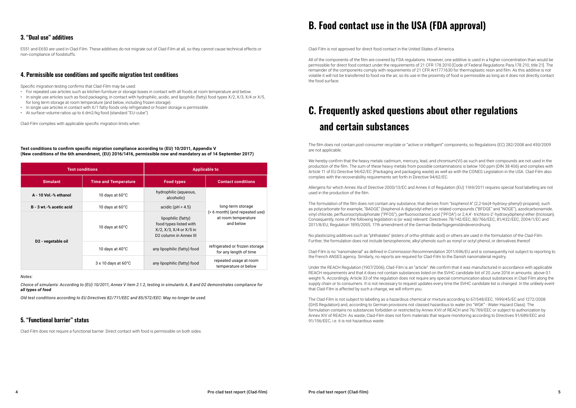E551 and E650 are used in Clad-Film. These additives do not migrate out of Clad-Film at all, so they cannot cause technical effects or non-compliance of foodstuffs.

Clad-Film does not require a functional barrier. Direct contact with food is permissible on both sides.

### **3. "Dual use" additives**

#### **5. "Functional barrier" status**

Specific migration testing confirms that Clad-Film may be used:

- For repeated use articles such as kitchen furniture or storage boxes in contact with all foods at room temperature and below.
- In single use articles such as food packaging, in contact with hydrophilic, acidic, and lipophilic (fatty) food types X/2, X/3, X/4 or X/5, for long term storage at room temperature (and below, including frozen storage).
- In single use articles in contact with X/1 fatty foods only refrigerated or frozen storage is permissible.
- At surface-volume ratios up to 6 dm2/kg food (standard "EU-cube")

Clad-Film complies with applicable specific migration limits when:

#### **4. Permissible use conditions and specific migration test conditions**

| <b>Test conditions</b>         |                                       | <b>Applicable to</b>                                                                                                    |                                                                                         |  |
|--------------------------------|---------------------------------------|-------------------------------------------------------------------------------------------------------------------------|-----------------------------------------------------------------------------------------|--|
| <b>Simulant</b>                | <b>Time and Temperature</b>           | <b>Food types</b>                                                                                                       | <b>Contact conditions</b>                                                               |  |
| A - 10 Vol.-% ethanol          | 10 days at $60^{\circ}$ C             | hydrophilic (aqueous,<br>alcoholic)                                                                                     | long-term storage<br>(> 6 month) (and repeated use)<br>at room temperature<br>and below |  |
| B - 3 wt.-% acetic acid        | 10 days at $60^{\circ}$ C             | acidic ( $pH < 4.5$ )                                                                                                   |                                                                                         |  |
| D <sub>2</sub> - vegetable oil | 10 days at $60^{\circ}$ C             | lipophilic (fatty)<br>food types listed with<br>$X/2$ , $X/3$ , $X/4$ or $X/5$ in<br>D <sub>2</sub> column in Annex III |                                                                                         |  |
|                                | 10 days at $40^{\circ}$ C             | any lipophilic (fatty) food                                                                                             | refrigerated or frozen storage<br>for any length of time                                |  |
|                                | $3 \times 10$ days at 60 $^{\circ}$ C | any lipophilic (fatty) food                                                                                             | repeated usage at room<br>temperature or below                                          |  |

We hereby confirm that the heavy metals cadmium, mercury, lead, and chromium(VI) as such and their compounds are not used in the production of the film. The sum of these heavy metals from possible contaminations is below 100 ppm (DIN 38 406) and complies with Article 11 of EU Directive 94/62/EC (Packaging and packaging waste) as well as with the CONEG Legislation in the USA. Clad-Film also complies with the recoverability requirements set forth in Directive 94/62/EC.

#### *Notes:*

*Choice of simulants: According to (EU) 10/2011, Annex V item 2.1.2, testing in simulants A, B and D2 demonstrates compliance for all types of food.*

*Old test conditions according to EU Directives 82/711/EEC and 85/572/EEC: May no longer be used.*

#### **Test conditions to confirm specific migration compliance according to (EU) 10/2011, Appendix V (New conditions of the 6th amendment, (EU) 2016/1416, permissible now and mandatory as of 14 September 2017)**

Clad-Film is not approved for direct food contact in the United States of America.

All of the components of the film are covered by FDA regulations. However, one additive is used in a higher concentration than would be permissible for direct food contact under the requirements of 21 CFR 178.2010 [Code of Federal Regulations Para.178.210, title 21]. The remainder of the components comply with requirements of 21 CFR Art177.1630 for thermoplastic resin and film. As this additive is not volatile it will not be transferred to food via the air, so its use in the proximity of food is permissible as long as it does not directly contact the food surface.

The film does not contain post-consumer recyclate or "active or intelligent" components, so Regulations (EC) 282/2008 and 450/2009 are not applicable.

Allergens for which Annex IIIa of Directive 2000/13/EC and Annex II of Regulation (EU) 1169/2011 requires special food labelling are not used in the production of the film.

The formulation of the film does not contain any substance, that derives from "bisphenol A" (2,2-bis(4-hydroxy-phenyl)-propane), such as polycarbonate for example, "BADGE" (bisphenol A diglycidyl ether) or related compounds ("BFDGE" and "NOGE"), azodicarbonamide, vinyl chloride, perfluorooctylsulphonate ("PFOS"), perfluorooctanoic acid ("PFOA") or 2,4,4'- trichloro-2'-hydroxydiphenyl ether (triclosan). Consequently, none of the following legislation is (or was) relevant: Directives 78/142/EEC, 80/766/EEC, 81/432/EEC, 2004/1/EC and 2011/8/EU, Regulation 1895/2005, 17th amendment of the German Bedarfsgegenständeverordnung.

No plasticizing additives such as "phthalates" (esters of ortho-phthalic acid) or others are used in the formulation of the Clad-Film. Further, the formulation does not include benzophenone, alkyl phenols such as nonyl or octyl phenol, or derivatives thereof.

Clad-Film is no "nanomaterial" as defined in Commission Recommendation 2011/696/EU and is consequently not subject to reporting to the French ANSES agency. Similarly, no reports are required for Clad-Film to the Danish nanomaterial registry.

Under the REACH Regulation (1907/2006), Clad-Film is an "article". We confirm that it was manufactured in accordance with applicable REACH requirements and that it does not contain substances listed on the SVHC candidate list of 20 June 2016 in amounts. above 0.1 weight-%. Accordingly, Article 33 of the regulation does not require any special communication about substances in Clad-Film along the supply chain or to consumers. It is not necessary to request updates every time the SVHC candidate list is changed. In the unlikely event that Clad-Film is affected by such a change, we will inform you.

The Clad-Film is not subject to labelling as a hazardous chemical or mixture according to 67/548/EEC, 1999/45/EC and 1272/2008 (GHS Regulation) and, according to German provisions not classed hazardous to water (no "WGK" - Water Hazard Class). The formulation contains no substances forbidden or restricted by Annex XVII of REACH and 76/769/EEC or subject to authorization by Annex XIV of REACH. As waste, Clad-Film does not form materials that require monitoring according to Directives 91/689/EEC and 91/156/EEC, i.e. it is not hazardous waste.

## **B. Food contact use in the USA (FDA approval)**

## **C. Frequently asked questions about other regulations and certain substances**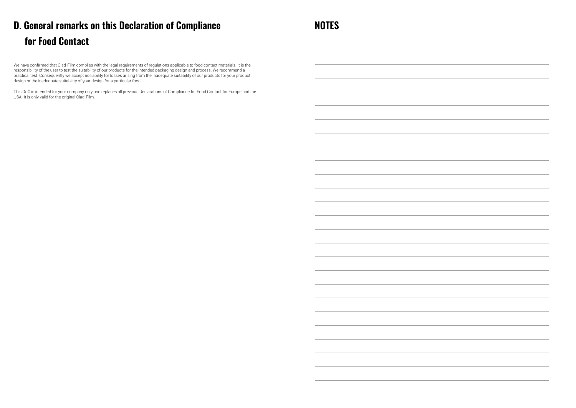We have confirmed that Clad-Film complies with the legal requirements of regulations applicable to food contact materials. It is the responsibility of the user to test the suitability of our products for the intended packaging design and process. We recommend a practical test. Consequently we accept no liability for losses arising from the inadequate suitability of our products for your product design or the inadequate suitability of your design for a particular food.

This DoC is intended for your company only and replaces all previous Declarations of Compliance for Food Contact for Europe and the USA. It is only valid for the original Clad-Film.



## **D. General remarks on this Declaration of Compliance for Food Contact**

**NOTES**